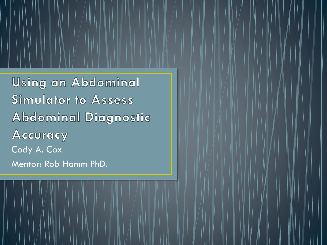**Using an Abdominal Simulator to Assess Abdominal Diagnostic** Accuracy Cody A. Cox Mentor: Rob Hamm PhD.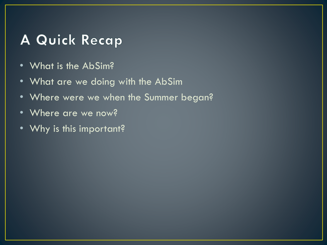# A Quick Recap

- What is the AbSim?
- What are we doing with the AbSim
- Where were we when the Summer began?
- Where are we now?
- Why is this important?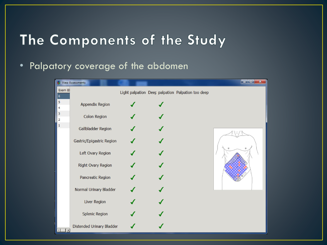# The Components of the Study

#### • Palpatory coverage of the abdomen

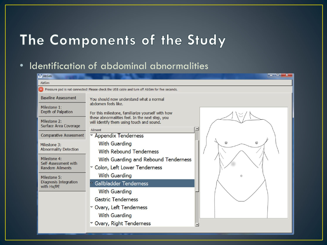# The Components of the Study

#### • Identification of abdominal abnormalities

| $\Psi$ AbSim                                                                                   | a marin <sup>a</sup> k                                                                                                              |  |  |  |  |
|------------------------------------------------------------------------------------------------|-------------------------------------------------------------------------------------------------------------------------------------|--|--|--|--|
| AbSim                                                                                          |                                                                                                                                     |  |  |  |  |
| Pressure pad is not connected! Please check the USB cable and turn off AbSim for five seconds. |                                                                                                                                     |  |  |  |  |
| <b>Baseline Assessment</b>                                                                     | You should now understand what a normal                                                                                             |  |  |  |  |
| Milestone 1:<br>Depth of Palpation                                                             | abdomen feels like.<br>For this milestone, familiarize yourself with how                                                            |  |  |  |  |
| Milestone 2:<br>Surface Area Coverage                                                          | these abnormalities feel. In the next step, you<br>will identify them using touch and sound.<br>$\overline{\phantom{a}}$<br>Ailment |  |  |  |  |
| <b>Comparative Assessment</b>                                                                  | ▽ Appendix Tenderness                                                                                                               |  |  |  |  |
| Milestone 3:<br><b>Abnormality Detection</b>                                                   | ⊚<br>With Guarding<br><b>With Rebound Tenderness</b>                                                                                |  |  |  |  |
| Milestone 4:<br>Self-Assessment with<br><b>Random Ailments</b>                                 | With Guarding and Rebound Tenderness<br>▽ Colon, Left Lower Tenderness                                                              |  |  |  |  |
| Milestone 5:<br>Diagnosis Integration<br>with Hx/PE                                            | <b>With Guarding</b><br>O                                                                                                           |  |  |  |  |
|                                                                                                | Gallbladder Tenderness                                                                                                              |  |  |  |  |
|                                                                                                | <b>With Guarding</b>                                                                                                                |  |  |  |  |
|                                                                                                | <b>Gastric Tenderness</b>                                                                                                           |  |  |  |  |
|                                                                                                | ▽ Ovary, Left Tenderness                                                                                                            |  |  |  |  |
|                                                                                                | <b>With Guarding</b>                                                                                                                |  |  |  |  |
|                                                                                                | ▽ Ovary, Right Tenderness                                                                                                           |  |  |  |  |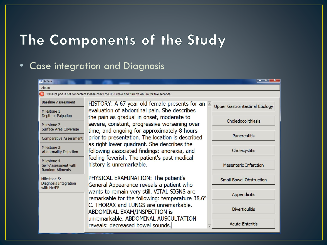# The Components of the Study

### • Case integration and Diagnosis

| <b>V</b> AbSim                                                                                                 |                                                                                                                                                                        |                                        |  |  |  |  |  |  |
|----------------------------------------------------------------------------------------------------------------|------------------------------------------------------------------------------------------------------------------------------------------------------------------------|----------------------------------------|--|--|--|--|--|--|
| AbSim                                                                                                          |                                                                                                                                                                        |                                        |  |  |  |  |  |  |
| $\mathbf{x}$<br>Pressure pad is not connected! Please check the USB cable and turn off AbSim for five seconds. |                                                                                                                                                                        |                                        |  |  |  |  |  |  |
| <b>Baseline Assessment</b>                                                                                     | HISTORY: A 67 year old female presents for an $\triangleq$                                                                                                             | <b>Upper Gastrointestinal Etiology</b> |  |  |  |  |  |  |
| Milestone 1:<br>Depth of Palpation                                                                             | evaluation of abdominal pain. She describes<br>the pain as gradual in onset, moderate to                                                                               | Choledocolithiasis                     |  |  |  |  |  |  |
| Milestone 2:<br>Surface Area Coverage                                                                          | severe, constant, progressive worsening over<br>time, and ongoing for approximately 8 hours                                                                            |                                        |  |  |  |  |  |  |
| <b>Comparative Assessment</b>                                                                                  | prior to presentation. The location is described                                                                                                                       | <b>Pancreatitis</b>                    |  |  |  |  |  |  |
| Milestone 3:<br><b>Abnormality Detection</b>                                                                   | as right lower quadrant. She describes the<br>following associated findings: anorexia, and<br>feeling feverish. The patient's past medical<br>history is unremarkable. | Cholecystitis                          |  |  |  |  |  |  |
| Milestone 4:<br>Self-Assessment with<br><b>Random Ailments</b>                                                 |                                                                                                                                                                        | Mesenteric Infarction                  |  |  |  |  |  |  |
| Milestone 5:<br>Diagnosis Integration                                                                          | PHYSICAL EXAMINATION: The patient's<br>General Appearance reveals a patient who                                                                                        | <b>Small Bowel Obstruction</b>         |  |  |  |  |  |  |
| with Hx/PE                                                                                                     | wants to remain very still. VITAL SIGNS are<br>remarkable for the following: temperature 38.6°                                                                         | Appendicitis                           |  |  |  |  |  |  |
|                                                                                                                | C. THORAX and LUNGS are unremarkable.<br>ABDOMINAL EXAM/INSPECTION is<br>unremarkable. ABDOMINAL AUSCULTATION<br>reveals: decreased bowel sounds.                      | <b>Diverticulitis</b>                  |  |  |  |  |  |  |
|                                                                                                                |                                                                                                                                                                        | <b>Acute Enteritis</b>                 |  |  |  |  |  |  |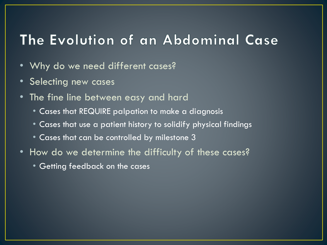### The Evolution of an Abdominal Case

- Why do we need different cases?
- Selecting new cases
- The fine line between easy and hard
	- Cases that REQUIRE palpation to make a diagnosis
	- Cases that use a patient history to solidify physical findings
	- Cases that can be controlled by milestone 3
- How do we determine the difficulty of these cases?
	- Getting feedback on the cases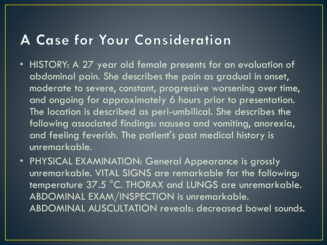### A Case for Your Consideration

- HISTORY: A 27 year old female presents for an evaluation of abdominal pain. She describes the pain as gradual in onset, moderate to severe, constant, progressive worsening over time, and ongoing for approximately 6 hours prior to presentation. The location is described as peri-umbilical. She describes the following associated findings: nausea and vomiting, anorexia, and feeling feverish. The patient's past medical history is unremarkable.
- PHYSICAL EXAMINATION: General Appearance is grossly unremarkable. VITAL SIGNS are remarkable for the following: temperature 37.5 °C. THORAX and LUNGS are unremarkable. ABDOMINAL EXAM/INSPECTION is unremarkable. ABDOMINAL AUSCULTATION reveals: decreased bowel sounds.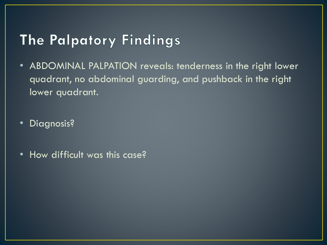## The Palpatory Findings

• ABDOMINAL PALPATION reveals: tenderness in the right lower quadrant, no abdominal guarding, and pushback in the right lower quadrant.

• Diagnosis?

• How difficult was this case?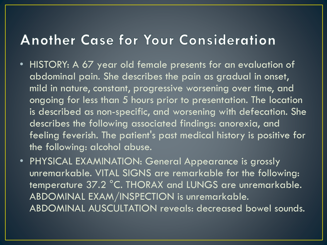### **Another Case for Your Consideration**

- HISTORY: A 67 year old female presents for an evaluation of abdominal pain. She describes the pain as gradual in onset, mild in nature, constant, progressive worsening over time, and ongoing for less than 5 hours prior to presentation. The location is described as non-specific, and worsening with defecation. She describes the following associated findings: anorexia, and feeling feverish. The patient's past medical history is positive for the following: alcohol abuse.
- PHYSICAL EXAMINATION: General Appearance is grossly unremarkable. VITAL SIGNS are remarkable for the following: temperature 37.2 °C. THORAX and LUNGS are unremarkable. ABDOMINAL EXAM/INSPECTION is unremarkable. ABDOMINAL AUSCULTATION reveals: decreased bowel sounds.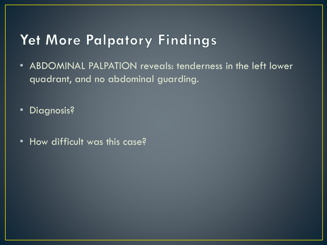# Yet More Palpatory Findings

- ABDOMINAL PALPATION reveals: tenderness in the left lower quadrant, and no abdominal guarding.
- Diagnosis?
- How difficult was this case?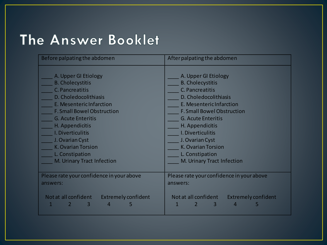# The Answer Booklet

| Before palpating the abdomen                                 | After palpating the abdomen                                                    |  |  |
|--------------------------------------------------------------|--------------------------------------------------------------------------------|--|--|
| A. Upper GI Etiology                                         | A. Upper GI Etiology                                                           |  |  |
| <b>B. Cholecystitis</b>                                      | <b>B. Cholecystitis</b>                                                        |  |  |
| C. Pancreatitis                                              | C. Pancreatitis                                                                |  |  |
| D. Choledocolithiasis                                        | D. Choledocolithiasis                                                          |  |  |
| E. Mesenteric Infarction                                     | E. Mesenteric Infarction                                                       |  |  |
| <b>F. Small Bowel Obstruction</b>                            | <b>F. Small Bowel Obstruction</b>                                              |  |  |
| <b>G. Acute Enteritis</b>                                    | <b>G. Acute Enteritis</b>                                                      |  |  |
| H. Appendicitis                                              | H. Appendicitis                                                                |  |  |
| I. Diverticulitis                                            | I. Diverticulitis                                                              |  |  |
| J. Ovarian Cyst                                              | J. Ovarian Cyst                                                                |  |  |
| <b>K. Ovarian Torsion</b>                                    | <b>K. Ovarian Torsion</b>                                                      |  |  |
| L. Constipation                                              | L. Constipation                                                                |  |  |
| M. Urinary Tract Infection                                   | M. Urinary Tract Infection                                                     |  |  |
| Please rate your confidence in your above                    | Please rate your confidence in your above                                      |  |  |
| answers:                                                     | answers:                                                                       |  |  |
| Not at all confident<br>Extremely confident<br>$\Delta$<br>5 | Not at all confident<br><b>Extremely confident</b><br>$\overline{4}$<br>3<br>5 |  |  |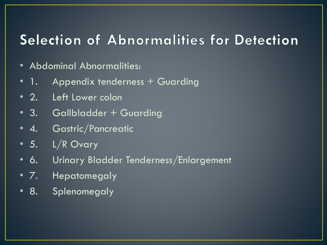## Selection of Abnormalities for Detection

- Abdominal Abnormalities:
- 1. Appendix tenderness + Guarding
- 2. Left Lower colon
- 3. Gallbladder + Guarding
- 4. Gastric/Pancreatic
- 5. L/R Ovary
- 6. Urinary Bladder Tenderness/Enlargement
- 7. Hepatomegaly
- 8. Splenomegaly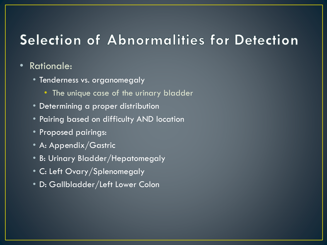## Selection of Abnormalities for Detection

#### • Rationale:

- Tenderness vs. organomegaly
	- The unique case of the urinary bladder
- Determining a proper distribution
- Pairing based on difficulty AND location
- Proposed pairings:
- A: Appendix/Gastric
- B: Urinary Bladder/Hepatomegaly
- C: Left Ovary/Splenomegaly
- D: Gallbladder/Left Lower Colon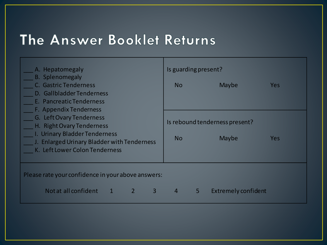# The Answer Booklet Returns

| A. Hepatomegaly                                                                                                                                                                                   | Is guarding present? |                                                |            |  |  |  |  |  |
|---------------------------------------------------------------------------------------------------------------------------------------------------------------------------------------------------|----------------------|------------------------------------------------|------------|--|--|--|--|--|
| <b>B.</b> Splenomegaly<br>C. Gastric Tenderness<br>D. Gallbladder Tenderness<br>E. Pancreatic Tenderness                                                                                          | N <sub>o</sub>       | Maybe                                          | <b>Yes</b> |  |  |  |  |  |
| F. Appendix Tenderness<br>G. Left Ovary Tenderness<br>H. Right Ovary Tenderness<br>I. Urinary Bladder Tenderness<br>J. Enlarged Urinary Bladder with Tenderness<br>K. Left Lower Colon Tenderness | <b>No</b>            | Is rebound tenderness present?<br><b>Maybe</b> | <b>Yes</b> |  |  |  |  |  |
| Please rate your confidence in your above answers:                                                                                                                                                |                      |                                                |            |  |  |  |  |  |
| Not at all confident<br><b>277</b><br>$\overline{3}$                                                                                                                                              | 5<br>$\overline{4}$  | Extremely confident                            |            |  |  |  |  |  |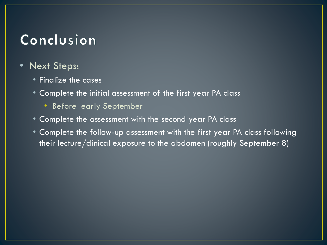# Conclusion

- Next Steps:
	- Finalize the cases
	- Complete the initial assessment of the first year PA class
		- Before early September
	- Complete the assessment with the second year PA class
	- Complete the follow-up assessment with the first year PA class following their lecture/clinical exposure to the abdomen (roughly September 8)